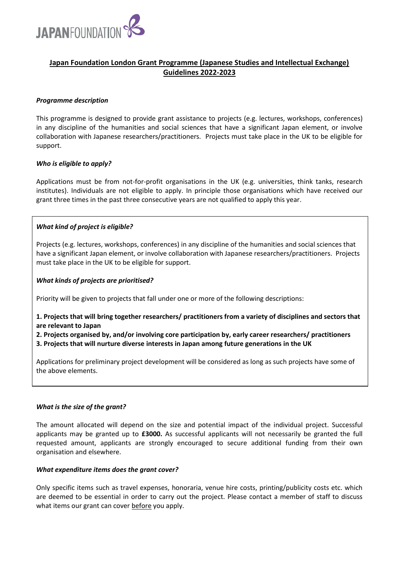

# **Japan Foundation London Grant Programme (Japanese Studies and Intellectual Exchange) Guidelines 2022-2023**

## *Programme description*

This programme is designed to provide grant assistance to projects (e.g. lectures, workshops, conferences) in any discipline of the humanities and social sciences that have a significant Japan element, or involve collaboration with Japanese researchers/practitioners. Projects must take place in the UK to be eligible for support.

# *Who is eligible to apply?*

Applications must be from not-for-profit organisations in the UK (e.g. universities, think tanks, research institutes). Individuals are not eligible to apply. In principle those organisations which have received our grant three times in the past three consecutive years are not qualified to apply this year.

# *What kind of project is eligible?*

Projects (e.g. lectures, workshops, conferences) in any discipline of the humanities and social sciences that have a significant Japan element, or involve collaboration with Japanese researchers/practitioners. Projects must take place in the UK to be eligible for support.

## *What kinds of projects are prioritised?*

Priority will be given to projects that fall under one or more of the following descriptions:

**1. Projects that will bring together researchers/ practitioners from a variety of disciplines and sectors that are relevant to Japan**

**2. Projects organised by, and/or involving core participation by, early career researchers/ practitioners**

**3. Projects that will nurture diverse interests in Japan among future generations in the UK** 

Applications for preliminary project development will be considered as long as such projects have some of the above elements.

## *What is the size of the grant?*

The amount allocated will depend on the size and potential impact of the individual project. Successful applicants may be granted up to **£3000.** As successful applicants will not necessarily be granted the full requested amount, applicants are strongly encouraged to secure additional funding from their own organisation and elsewhere.

## *What expenditure items does the grant cover?*

Only specific items such as travel expenses, honoraria, venue hire costs, printing/publicity costs etc. which are deemed to be essential in order to carry out the project. Please contact a member of staff to discuss what items our grant can cover before you apply.